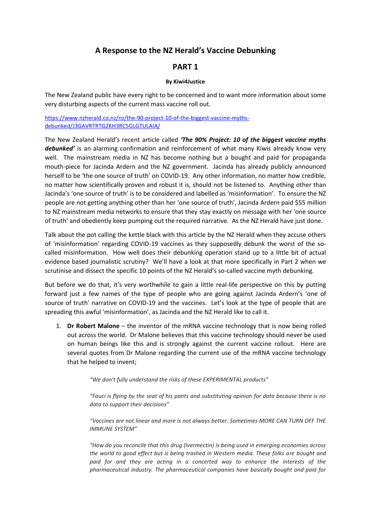# **A Response to the NZ Herald's Vaccine Debunking**

### **PART 1**

#### **By Kiwi4Justice**

The New Zealand public have every right to be concerned and to want more information about some very disturbing aspects of the current mass vaccine roll out.

[https://www.nzherald.co.nz/nz/the-90-project-10-of-the-biggest-vaccine-myths](https://www.nzherald.co.nz/nz/the-90-project-10-of-the-biggest-vaccine-myths-debunked/J3GAVRTRTG2KH3RC5GLGTULAIA/)[debunked/J3GAVRTRTG2KH3RC5GLGTULAIA/](https://www.nzherald.co.nz/nz/the-90-project-10-of-the-biggest-vaccine-myths-debunked/J3GAVRTRTG2KH3RC5GLGTULAIA/)

The New Zealand Herald's recent article called *'The 90% Project: 10 of the biggest vaccine myths debunked'* is an alarming confirmation and reinforcement of what many Kiwis already know very well. The mainstream media in NZ has become nothing but a bought and paid for propaganda mouth-piece for Jacinda Ardern and the NZ government. Jacinda has already publicly announced herself to be 'the one source of truth' on COVID-19. Any other information, no matter how credible, no matter how scientifically proven and robust it is, should not be listened to. Anything other than Jacinda's 'one source of truth' is to be considered and labelled as 'misinformation'. To ensure the NZ people are not getting anything other than her 'one source of truth', Jacinda Ardern paid \$55 million to NZ mainstream media networks to ensure that they stay exactly on message with her 'one source of truth' and obediently keep pumping out the required narrative. As the NZ Herald have just done.

Talk about the pot calling the kettle black with this article by the NZ Herald when they accuse others of 'misinformation' regarding COVID-19 vaccines as they supposedly debunk the worst of the socalled misinformation. How well does their debunking operation stand up to a little bit of actual evidence based journalistic scrutiny? We'll have a look at that more specifically in Part 2 when we scrutinise and dissect the specific 10 points of the NZ Herald's so-called vaccine myth debunking.

But before we do that, it's very worthwhile to gain a little real-life perspective on this by putting forward just a few names of the type of people who are going against Jacinda Ardern's 'one of source of truth' narrative on COVID-19 and the vaccines. Let's look at the type of people that are spreading this awful 'misinformation', as Jacinda and the NZ Herald like to call it.

1. **Dr Robert Malone** – the inventor of the mRNA vaccine technology that is now being rolled out across the world. Dr Malone believes that this vaccine technology should never be used on human beings like this and is strongly against the current vaccine rollout. Here are several quotes from Dr Malone regarding the current use of the mRNA vaccine technology that he helped to invent;

*"We don't fully understand the risks of these EXPERIMENTAL products"*

*"Fauci is flying by the seat of his pants and substituting opinion for data because there is no data to support their decisions"*

*"Vaccines are not linear and more is not always better. Sometimes MORE CAN TURN OFF THE IMMUNE SYSTEM"*

*"How do you reconcile that this drug (Ivermectin) is being used in emerging economies across the world to good effect but is being trashed in Western media. These folks are bought and paid for and they are acting in a concerted way to enhance the interests of the pharmaceutical industry. The pharmaceutical companies have basically bought and paid for*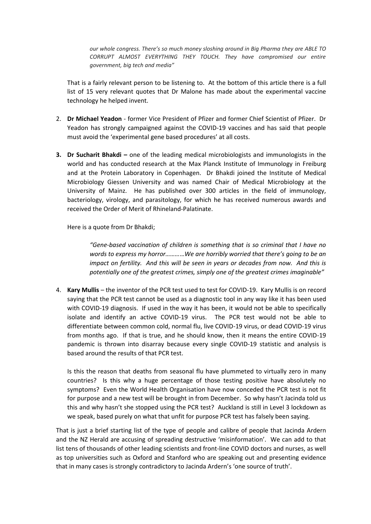*our whole congress. There's so much money sloshing around in Big Pharma they are ABLE TO CORRUPT ALMOST EVERYTHING THEY TOUCH. They have compromised our entire government, big tech and media"*

That is a fairly relevant person to be listening to. At the bottom of this article there is a full list of 15 very relevant quotes that Dr Malone has made about the experimental vaccine technology he helped invent.

- 2. **Dr Michael Yeadon** former Vice President of Pfizer and former Chief Scientist of Pfizer. Dr Yeadon has strongly campaigned against the COVID-19 vaccines and has said that people must avoid the 'experimental gene based procedures' at all costs.
- **3. Dr Sucharit Bhakdi –** one of the leading medical microbiologists and immunologists in the world and has conducted research at the Max Planck Institute of Immunology in Freiburg and at the Protein Laboratory in Copenhagen. Dr Bhakdi joined the Institute of Medical Microbiology Giessen University and was named Chair of Medical Microbiology at the University of Mainz. He has published over 300 articles in the field of immunology, bacteriology, virology, and parasitology, for which he has received numerous awards and received the Order of Merit of Rhineland-Palatinate.

Here is a quote from Dr Bhakdi;

*"Gene-based vaccination of children is something that is so criminal that I have no words to express my horror………*…*We are horribly worried that there's going to be an impact on fertility. And this will be seen in years or decades from now. And this is potentially one of the greatest crimes, simply one of the greatest crimes imaginable"*

4. **Kary Mullis** – the inventor of the PCR test used to test for COVID-19. Kary Mullis is on record saying that the PCR test cannot be used as a diagnostic tool in any way like it has been used with COVID-19 diagnosis. If used in the way it has been, it would not be able to specifically isolate and identify an active COVID-19 virus. The PCR test would not be able to differentiate between common cold, normal flu, live COVID-19 virus, or dead COVID-19 virus from months ago. If that is true, and he should know, then it means the entire COVID-19 pandemic is thrown into disarray because every single COVID-19 statistic and analysis is based around the results of that PCR test.

Is this the reason that deaths from seasonal flu have plummeted to virtually zero in many countries? Is this why a huge percentage of those testing positive have absolutely no symptoms? Even the World Health Organisation have now conceded the PCR test is not fit for purpose and a new test will be brought in from December. So why hasn't Jacinda told us this and why hasn't she stopped using the PCR test? Auckland is still in Level 3 lockdown as we speak, based purely on what that unfit for purpose PCR test has falsely been saying.

That is just a brief starting list of the type of people and calibre of people that Jacinda Ardern and the NZ Herald are accusing of spreading destructive 'misinformation'. We can add to that list tens of thousands of other leading scientists and front-line COVID doctors and nurses, as well as top universities such as Oxford and Stanford who are speaking out and presenting evidence that in many cases is strongly contradictory to Jacinda Ardern's 'one source of truth'.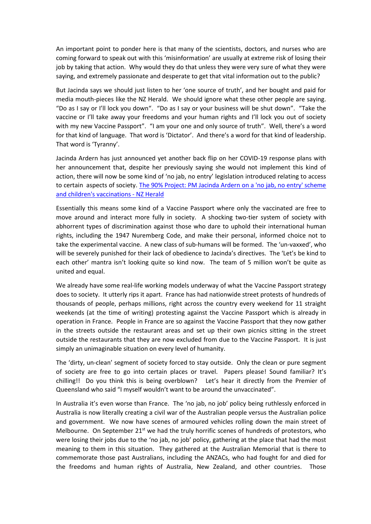An important point to ponder here is that many of the scientists, doctors, and nurses who are coming forward to speak out with this 'misinformation' are usually at extreme risk of losing their job by taking that action. Why would they do that unless they were very sure of what they were saying, and extremely passionate and desperate to get that vital information out to the public?

But Jacinda says we should just listen to her 'one source of truth', and her bought and paid for media mouth-pieces like the NZ Herald. We should ignore what these other people are saying. "Do as I say or I'll lock you down". "Do as I say or your business will be shut down". "Take the vaccine or I'll take away your freedoms and your human rights and I'll lock you out of society with my new Vaccine Passport". "I am your one and only source of truth". Well, there's a word for that kind of language. That word is 'Dictator'. And there's a word for that kind of leadership. That word is 'Tyranny'.

Jacinda Ardern has just announced yet another back flip on her COVID-19 response plans with her announcement that, despite her previously saying she would not implement this kind of action, there will now be some kind of 'no jab, no entry' legislation introduced relating to access to certain aspects of society. [The 90% Project: PM Jacinda Ardern on a 'no jab, no entry' scheme](https://www.nzherald.co.nz/nz/the-90-project-pm-jacinda-ardern-on-a-no-jab-no-entry-scheme-and-childrens-vaccinations/GYRJDOOQOOH2EMSO7QQEGBUKDQ/)  [and children's vaccinations -](https://www.nzherald.co.nz/nz/the-90-project-pm-jacinda-ardern-on-a-no-jab-no-entry-scheme-and-childrens-vaccinations/GYRJDOOQOOH2EMSO7QQEGBUKDQ/) NZ Herald

Essentially this means some kind of a Vaccine Passport where only the vaccinated are free to move around and interact more fully in society. A shocking two-tier system of society with abhorrent types of discrimination against those who dare to uphold their international human rights, including the 1947 Nuremberg Code, and make their personal, informed choice not to take the experimental vaccine. A new class of sub-humans will be formed. The 'un-vaxxed', who will be severely punished for their lack of obedience to Jacinda's directives. The 'Let's be kind to each other' mantra isn't looking quite so kind now. The team of 5 million won't be quite as united and equal.

We already have some real-life working models underway of what the Vaccine Passport strategy does to society. It utterly rips it apart. France has had nationwide street protests of hundreds of thousands of people, perhaps millions, right across the country every weekend for 11 straight weekends (at the time of writing) protesting against the Vaccine Passport which is already in operation in France. People in France are so against the Vaccine Passport that they now gather in the streets outside the restaurant areas and set up their own picnics sitting in the street outside the restaurants that they are now excluded from due to the Vaccine Passport. It is just simply an unimaginable situation on every level of humanity.

The 'dirty, un-clean' segment of society forced to stay outside. Only the clean or pure segment of society are free to go into certain places or travel. Papers please! Sound familiar? It's chilling!! Do you think this is being overblown? Let's hear it directly from the Premier of Queensland who said "I myself wouldn't want to be around the unvaccinated".

In Australia it's even worse than France. The 'no jab, no job' policy being ruthlessly enforced in Australia is now literally creating a civil war of the Australian people versus the Australian police and government. We now have scenes of armoured vehicles rolling down the main street of Melbourne. On September  $21^{st}$  we had the truly horrific scenes of hundreds of protestors, who were losing their jobs due to the 'no jab, no job' policy, gathering at the place that had the most meaning to them in this situation. They gathered at the Australian Memorial that is there to commemorate those past Australians, including the ANZACs, who had fought for and died for the freedoms and human rights of Australia, New Zealand, and other countries. Those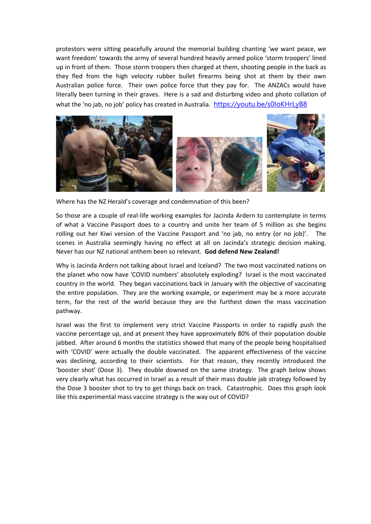protestors were sitting peacefully around the memorial building chanting 'we want peace, we want freedom' towards the army of several hundred heavily armed police 'storm troopers' lined up in front of them. Those storm troopers then charged at them, shooting people in the back as they fled from the high velocity rubber bullet firearms being shot at them by their own Australian police force. Their own police force that they pay for. The ANZACs would have literally been turning in their graves. Here is a sad and disturbing video and photo collation of what the 'no jab, no job' policy has created in Australia. [https://youtu.be/s0IoKHrLyB8](https://emea01.safelinks.protection.outlook.com/?url=https%3A%2F%2Fyoutu.be%2Fs0IoKHrLyB8&data=04%7C01%7C%7Cbd867b51bb8b43ec3e3108d9811769ec%7C84df9e7fe9f640afb435aaaaaaaaaaaa%7C1%7C0%7C637682759865967546%7CUnknown%7CTWFpbGZsb3d8eyJWIjoiMC4wLjAwMDAiLCJQIjoiV2luMzIiLCJBTiI6Ik1haWwiLCJXVCI6Mn0%3D%7C1000&sdata=rtaoPJ8dlLSuUfbO8q9Qfeer9b8TZSuQBPyDy9VOm28%3D&reserved=0)



Where has the NZ Herald's coverage and condemnation of this been?

So those are a couple of real-life working examples for Jacinda Ardern to contemplate in terms of what a Vaccine Passport does to a country and unite her team of 5 million as she begins rolling out her Kiwi version of the Vaccine Passport and 'no jab, no entry (or no job)'. The scenes in Australia seemingly having no effect at all on Jacinda's strategic decision making. Never has our NZ national anthem been so relevant. **God defend New Zealand!**

Why is Jacinda Ardern not talking about Israel and Iceland? The two most vaccinated nations on the planet who now have 'COVID numbers' absolutely exploding? Israel is the most vaccinated country in the world. They began vaccinations back in January with the objective of vaccinating the entire population. They are the working example, or experiment may be a more accurate term, for the rest of the world because they are the furthest down the mass vaccination pathway.

Israel was the first to implement very strict Vaccine Passports in order to rapidly push the vaccine percentage up, and at present they have approximately 80% of their population double jabbed. After around 6 months the statistics showed that many of the people being hospitalised with 'COVID' were actually the double vaccinated. The apparent effectiveness of the vaccine was declining, according to their scientists. For that reason, they recently introduced the 'booster shot' (Dose 3). They double downed on the same strategy. The graph below shows very clearly what has occurred in Israel as a result of their mass double jab strategy followed by the Dose 3 booster shot to try to get things back on track. Catastrophic. Does this graph look like this experimental mass vaccine strategy is the way out of COVID?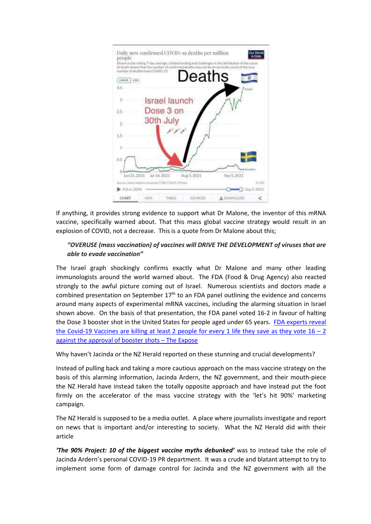

If anything, it provides strong evidence to support what Dr Malone, the inventor of this mRNA vaccine, specifically warned about. That this mass global vaccine strategy would result in an explosion of COVID, not a decrease. This is a quote from Dr Malone about this;

### *"OVERUSE (mass vaccination) of vaccines will DRIVE THE DEVELOPMENT of viruses that are able to evade vaccination"*

The Israel graph shockingly confirms exactly what Dr Malone and many other leading immunologists around the world warned about. The FDA (Food & Drug Agency) also reacted strongly to the awful picture coming out of Israel. Numerous scientists and doctors made a combined presentation on September  $17<sup>th</sup>$  to an FDA panel outlining the evidence and concerns around many aspects of experimental mRNA vaccines, including the alarming situation in Israel shown above. On the basis of that presentation, the FDA panel voted 16-2 in favour of halting the Dose 3 booster shot in the United States for people aged under 65 years. [FDA experts reveal](https://theexpose.uk/2021/09/18/fda-experts-reveal-the-covid-19-vaccines-are-killing-2-people-for-every-1-life-saved/)  the Covid-19 Vaccines are killing at least 2 people for every 1 life they save as they vote  $16 - 2$ [against the approval of booster shots](https://theexpose.uk/2021/09/18/fda-experts-reveal-the-covid-19-vaccines-are-killing-2-people-for-every-1-life-saved/) – The Expose

Why haven't Jacinda or the NZ Herald reported on these stunning and crucial developments?

Instead of pulling back and taking a more cautious approach on the mass vaccine strategy on the basis of this alarming information, Jacinda Ardern, the NZ government, and their mouth-piece the NZ Herald have instead taken the totally opposite approach and have instead put the foot firmly on the accelerator of the mass vaccine strategy with the 'let's hit 90%' marketing campaign.

The NZ Herald is supposed to be a media outlet. A place where journalists investigate and report on news that is important and/or interesting to society. What the NZ Herald did with their article

*'The 90% Project: 10 of the biggest vaccine myths debunked'* was to instead take the role of Jacinda Ardern's personal COVID-19 PR department. It was a crude and blatant attempt to try to implement some form of damage control for Jacinda and the NZ government with all the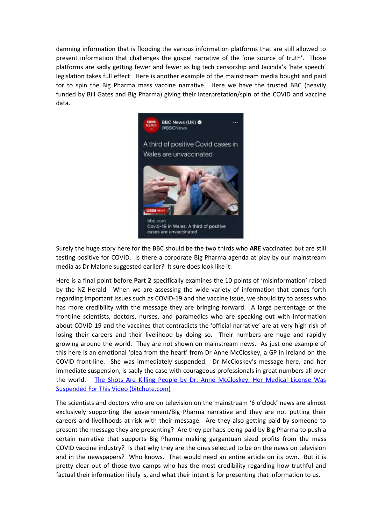damning information that is flooding the various information platforms that are still allowed to present information that challenges the gospel narrative of the 'one source of truth'. Those platforms are sadly getting fewer and fewer as big tech censorship and Jacinda's 'hate speech' legislation takes full effect. Here is another example of the mainstream media bought and paid for to spin the Big Pharma mass vaccine narrative. Here we have the trusted BBC (heavily funded by Bill Gates and Big Pharma) giving their interpretation/spin of the COVID and vaccine data.



Surely the huge story here for the BBC should be the two thirds who **ARE** vaccinated but are still testing positive for COVID. Is there a corporate Big Pharma agenda at play by our mainstream media as Dr Malone suggested earlier? It sure does look like it.

Here is a final point before **Part 2** specifically examines the 10 points of 'misinformation' raised by the NZ Herald. When we are assessing the wide variety of information that comes forth regarding important issues such as COVID-19 and the vaccine issue, we should try to assess who has more credibility with the message they are bringing forward. A large percentage of the frontline scientists, doctors, nurses, and paramedics who are speaking out with information about COVID-19 and the vaccines that contradicts the 'official narrative' are at very high risk of losing their careers and their livelihood by doing so. Their numbers are huge and rapidly growing around the world. They are not shown on mainstream news. As just one example of this here is an emotional 'plea from the heart' from Dr Anne McCloskey, a GP in Ireland on the COVID front-line. She was immediately suspended. Dr McCloskey's message here, and her immediate suspension, is sadly the case with courageous professionals in great numbers all over the world. [The Shots Are Killing People by Dr. Anne McCloskey, Her Medical License Was](https://www.bitchute.com/video/lq5cmJdBFozu/)  [Suspended For This Video \(bitchute.com\)](https://www.bitchute.com/video/lq5cmJdBFozu/)

The scientists and doctors who are on television on the mainstream '6 o'clock' news are almost exclusively supporting the government/Big Pharma narrative and they are not putting their careers and livelihoods at risk with their message. Are they also getting paid by someone to present the message they are presenting? Are they perhaps being paid by Big Pharma to push a certain narrative that supports Big Pharma making gargantuan sized profits from the mass COVID vaccine industry? Is that why they are the ones selected to be on the news on television and in the newspapers? Who knows. That would need an entire article on its own. But it is pretty clear out of those two camps who has the most credibility regarding how truthful and factual their information likely is, and what their intent is for presenting that information to us.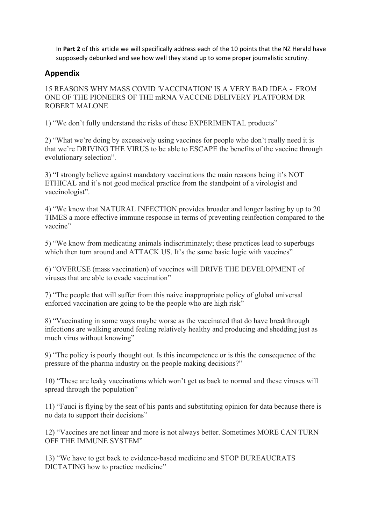In **Part 2** of this article we will specifically address each of the 10 points that the NZ Herald have supposedly debunked and see how well they stand up to some proper journalistic scrutiny.

## **Appendix**

15 REASONS WHY MASS COVID 'VACCINATION' IS A VERY BAD IDEA - FROM ONE OF THE PIONEERS OF THE mRNA VACCINE DELIVERY PLATFORM DR ROBERT MALONE

1) "We don't fully understand the risks of these EXPERIMENTAL products"

2) "What we're doing by excessively using vaccines for people who don't really need it is that we're DRIVING THE VIRUS to be able to ESCAPE the benefits of the vaccine through evolutionary selection".

3) "I strongly believe against mandatory vaccinations the main reasons being it's NOT ETHICAL and it's not good medical practice from the standpoint of a virologist and vaccinologist".

4) "We know that NATURAL INFECTION provides broader and longer lasting by up to 20 TIMES a more effective immune response in terms of preventing reinfection compared to the vaccine"

5) "We know from medicating animals indiscriminately; these practices lead to superbugs which then turn around and ATTACK US. It's the same basic logic with vaccines"

6) "OVERUSE (mass vaccination) of vaccines will DRIVE THE DEVELOPMENT of viruses that are able to evade vaccination"

7) "The people that will suffer from this naive inappropriate policy of global universal enforced vaccination are going to be the people who are high risk"

8) "Vaccinating in some ways maybe worse as the vaccinated that do have breakthrough infections are walking around feeling relatively healthy and producing and shedding just as much virus without knowing"

9) "The policy is poorly thought out. Is this incompetence or is this the consequence of the pressure of the pharma industry on the people making decisions?"

10) "These are leaky vaccinations which won't get us back to normal and these viruses will spread through the population"

11) "Fauci is flying by the seat of his pants and substituting opinion for data because there is no data to support their decisions"

12) "Vaccines are not linear and more is not always better. Sometimes MORE CAN TURN OFF THE IMMUNE SYSTEM"

13) "We have to get back to evidence-based medicine and STOP BUREAUCRATS DICTATING how to practice medicine"